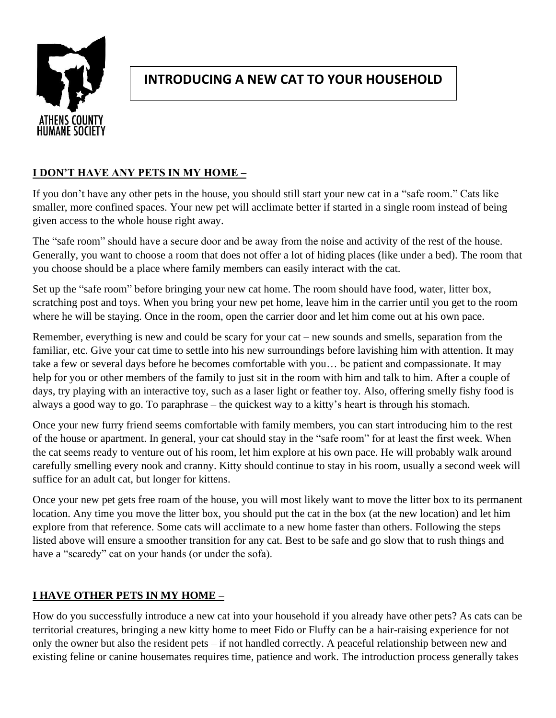

# **INTRODUCING A NEW CAT TO YOUR HOUSEHOLD**

## **I DON'T HAVE ANY PETS IN MY HOME –**

If you don't have any other pets in the house, you should still start your new cat in a "safe room." Cats like smaller, more confined spaces. Your new pet will acclimate better if started in a single room instead of being given access to the whole house right away.

The "safe room" should have a secure door and be away from the noise and activity of the rest of the house. Generally, you want to choose a room that does not offer a lot of hiding places (like under a bed). The room that you choose should be a place where family members can easily interact with the cat.

Set up the "safe room" before bringing your new cat home. The room should have food, water, litter box, scratching post and toys. When you bring your new pet home, leave him in the carrier until you get to the room where he will be staying. Once in the room, open the carrier door and let him come out at his own pace.

Remember, everything is new and could be scary for your cat – new sounds and smells, separation from the familiar, etc. Give your cat time to settle into his new surroundings before lavishing him with attention. It may take a few or several days before he becomes comfortable with you… be patient and compassionate. It may help for you or other members of the family to just sit in the room with him and talk to him. After a couple of days, try playing with an interactive toy, such as a laser light or feather toy. Also, offering smelly fishy food is always a good way to go. To paraphrase – the quickest way to a kitty's heart is through his stomach.

Once your new furry friend seems comfortable with family members, you can start introducing him to the rest of the house or apartment. In general, your cat should stay in the "safe room" for at least the first week. When the cat seems ready to venture out of his room, let him explore at his own pace. He will probably walk around carefully smelling every nook and cranny. Kitty should continue to stay in his room, usually a second week will suffice for an adult cat, but longer for kittens.

Once your new pet gets free roam of the house, you will most likely want to move the litter box to its permanent location. Any time you move the litter box, you should put the cat in the box (at the new location) and let him explore from that reference. Some cats will acclimate to a new home faster than others. Following the steps listed above will ensure a smoother transition for any cat. Best to be safe and go slow that to rush things and have a "scaredy" cat on your hands (or under the sofa).

## **I HAVE OTHER PETS IN MY HOME –**

How do you successfully introduce a new cat into your household if you already have other pets? As cats can be territorial creatures, bringing a new kitty home to meet Fido or Fluffy can be a hair-raising experience for not only the owner but also the resident pets – if not handled correctly. A peaceful relationship between new and existing feline or canine housemates requires time, patience and work. The introduction process generally takes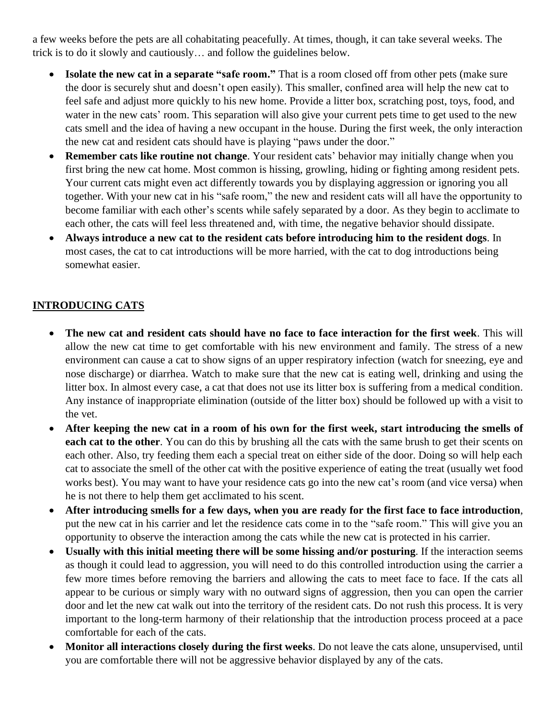a few weeks before the pets are all cohabitating peacefully. At times, though, it can take several weeks. The trick is to do it slowly and cautiously… and follow the guidelines below.

- **Isolate the new cat in a separate "safe room."** That is a room closed off from other pets (make sure the door is securely shut and doesn't open easily). This smaller, confined area will help the new cat to feel safe and adjust more quickly to his new home. Provide a litter box, scratching post, toys, food, and water in the new cats' room. This separation will also give your current pets time to get used to the new cats smell and the idea of having a new occupant in the house. During the first week, the only interaction the new cat and resident cats should have is playing "paws under the door."
- **Remember cats like routine not change**. Your resident cats' behavior may initially change when you first bring the new cat home. Most common is hissing, growling, hiding or fighting among resident pets. Your current cats might even act differently towards you by displaying aggression or ignoring you all together. With your new cat in his "safe room," the new and resident cats will all have the opportunity to become familiar with each other's scents while safely separated by a door. As they begin to acclimate to each other, the cats will feel less threatened and, with time, the negative behavior should dissipate.
- **Always introduce a new cat to the resident cats before introducing him to the resident dogs**. In most cases, the cat to cat introductions will be more harried, with the cat to dog introductions being somewhat easier.

#### **INTRODUCING CATS**

- **The new cat and resident cats should have no face to face interaction for the first week**. This will allow the new cat time to get comfortable with his new environment and family. The stress of a new environment can cause a cat to show signs of an upper respiratory infection (watch for sneezing, eye and nose discharge) or diarrhea. Watch to make sure that the new cat is eating well, drinking and using the litter box. In almost every case, a cat that does not use its litter box is suffering from a medical condition. Any instance of inappropriate elimination (outside of the litter box) should be followed up with a visit to the vet.
- **After keeping the new cat in a room of his own for the first week, start introducing the smells of each cat to the other**. You can do this by brushing all the cats with the same brush to get their scents on each other. Also, try feeding them each a special treat on either side of the door. Doing so will help each cat to associate the smell of the other cat with the positive experience of eating the treat (usually wet food works best). You may want to have your residence cats go into the new cat's room (and vice versa) when he is not there to help them get acclimated to his scent.
- **After introducing smells for a few days, when you are ready for the first face to face introduction**, put the new cat in his carrier and let the residence cats come in to the "safe room." This will give you an opportunity to observe the interaction among the cats while the new cat is protected in his carrier.
- **Usually with this initial meeting there will be some hissing and/or posturing**. If the interaction seems as though it could lead to aggression, you will need to do this controlled introduction using the carrier a few more times before removing the barriers and allowing the cats to meet face to face. If the cats all appear to be curious or simply wary with no outward signs of aggression, then you can open the carrier door and let the new cat walk out into the territory of the resident cats. Do not rush this process. It is very important to the long-term harmony of their relationship that the introduction process proceed at a pace comfortable for each of the cats.
- **Monitor all interactions closely during the first weeks**. Do not leave the cats alone, unsupervised, until you are comfortable there will not be aggressive behavior displayed by any of the cats.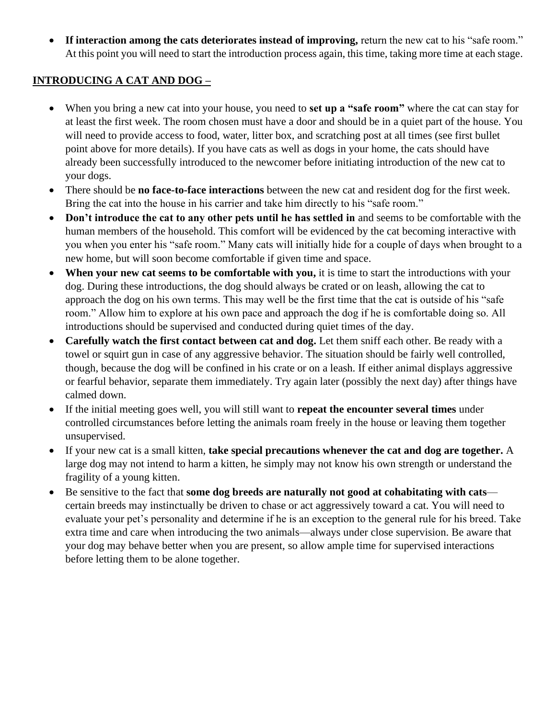• **If interaction among the cats deteriorates instead of improving,** return the new cat to his "safe room." At this point you will need to start the introduction process again, this time, taking more time at each stage.

#### **INTRODUCING A CAT AND DOG –**

- When you bring a new cat into your house, you need to **set up a "safe room"** where the cat can stay for at least the first week. The room chosen must have a door and should be in a quiet part of the house. You will need to provide access to food, water, litter box, and scratching post at all times (see first bullet point above for more details). If you have cats as well as dogs in your home, the cats should have already been successfully introduced to the newcomer before initiating introduction of the new cat to your dogs.
- There should be **no face-to-face interactions** between the new cat and resident dog for the first week. Bring the cat into the house in his carrier and take him directly to his "safe room."
- **Don't introduce the cat to any other pets until he has settled in** and seems to be comfortable with the human members of the household. This comfort will be evidenced by the cat becoming interactive with you when you enter his "safe room." Many cats will initially hide for a couple of days when brought to a new home, but will soon become comfortable if given time and space.
- **When your new cat seems to be comfortable with you,** it is time to start the introductions with your dog. During these introductions, the dog should always be crated or on leash, allowing the cat to approach the dog on his own terms. This may well be the first time that the cat is outside of his "safe room." Allow him to explore at his own pace and approach the dog if he is comfortable doing so. All introductions should be supervised and conducted during quiet times of the day.
- **Carefully watch the first contact between cat and dog.** Let them sniff each other. Be ready with a towel or squirt gun in case of any aggressive behavior. The situation should be fairly well controlled, though, because the dog will be confined in his crate or on a leash. If either animal displays aggressive or fearful behavior, separate them immediately. Try again later (possibly the next day) after things have calmed down.
- If the initial meeting goes well, you will still want to **repeat the encounter several times** under controlled circumstances before letting the animals roam freely in the house or leaving them together unsupervised.
- If your new cat is a small kitten, **take special precautions whenever the cat and dog are together.** A large dog may not intend to harm a kitten, he simply may not know his own strength or understand the fragility of a young kitten.
- Be sensitive to the fact that **some dog breeds are naturally not good at cohabitating with cats** certain breeds may instinctually be driven to chase or act aggressively toward a cat. You will need to evaluate your pet's personality and determine if he is an exception to the general rule for his breed. Take extra time and care when introducing the two animals—always under close supervision. Be aware that your dog may behave better when you are present, so allow ample time for supervised interactions before letting them to be alone together.